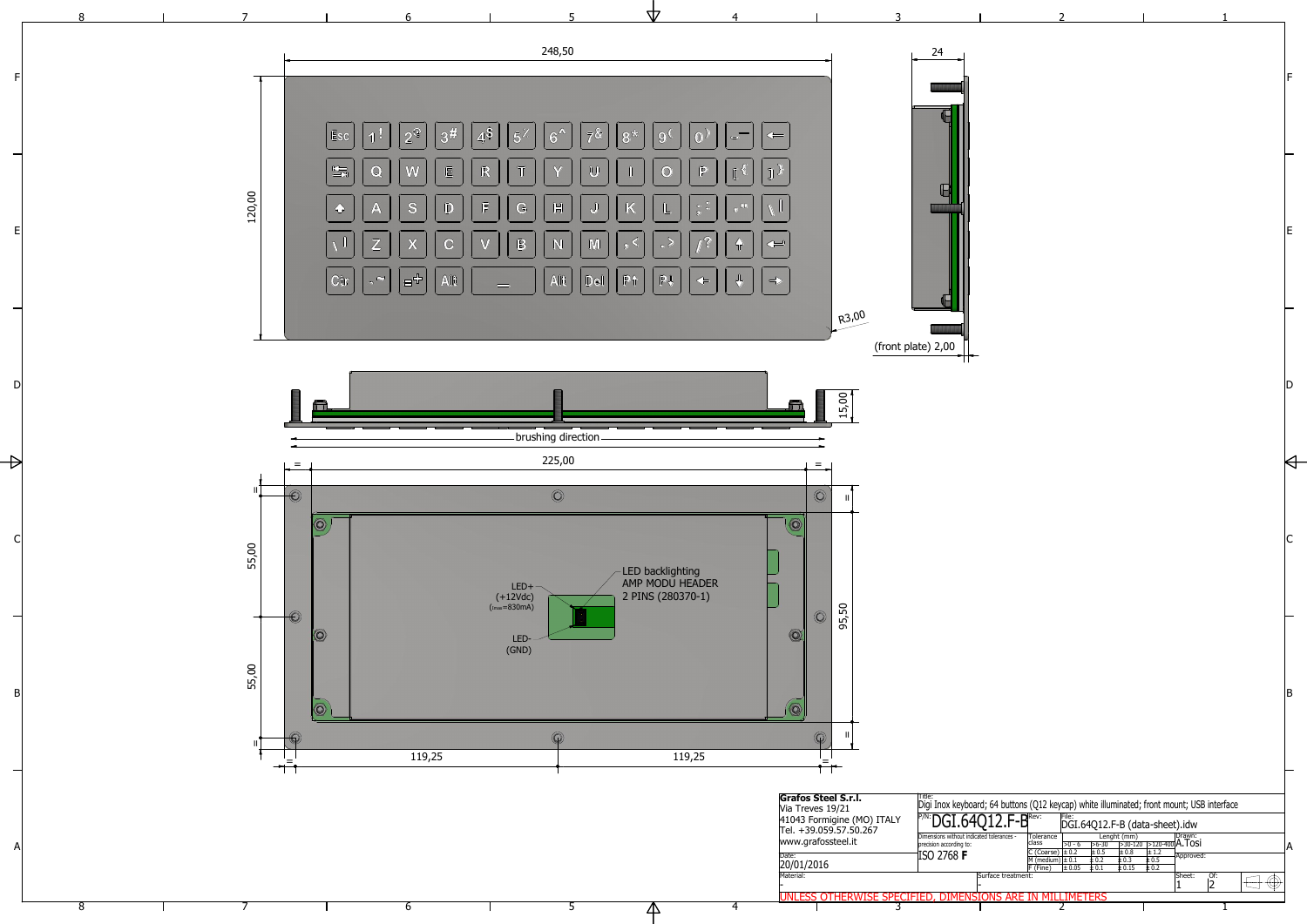1

2

5



6

7